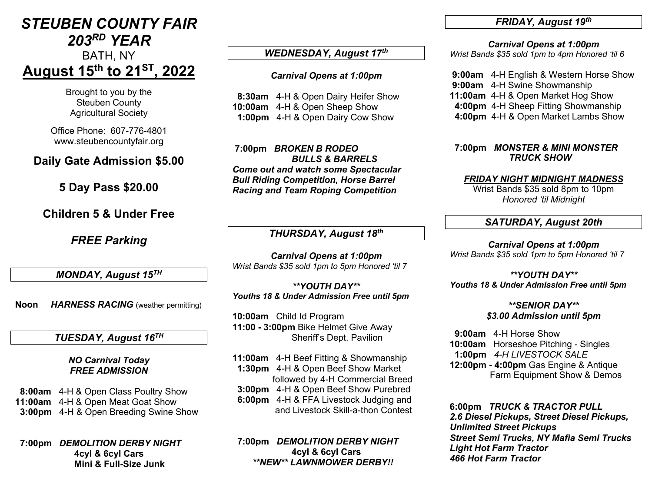## *STEUBEN COUNTY FAIR 203RD YEAR*

# BATH, NY **August 15th to 21ST , 2022**

Brought to you by the Steuben County Agricultural Society

Office Phone: 607-776-4801 www.steubencountyfair.org

## **Daily Gate Admission \$5.00**

**5 Day Pass \$20.00**

## **Children 5 & Under Free**

*FREE Parking*

*MONDAY, August 15TH*

**Noon** *HARNESS RACING* (weather permitting)

### *TUESDAY, August 16TH*

*NO Carnival Today FREE ADMISSION*

 **8:00am** 4-H & Open Class Poultry Show **11:00am** 4-H & Open Meat Goat Show  **3:00pm** 4-H & Open Breeding Swine Show

 **7:00pm** *DEMOLITION DERBY NIGHT* **4cyl & 6cyl Cars Mini & Full-Size Junk**

### *WEDNESDAY, August 17th*

#### *Carnival Opens at 1:00pm*

 **8:30am** 4-H & Open Dairy Heifer Show **10:00am** 4-H & Open Sheep Show  **1:00pm** 4-H & Open Dairy Cow Show

**7:00pm** *BROKEN B RODEO BULLS & BARRELS Come out and watch some Spectacular Bull Riding Competition, Horse Barrel Racing and Team Roping Competition*

### *THURSDAY, August 18th*

*Carnival Opens at 1:00pm Wrist Bands \$35 sold 1pm to 5pm Honored 'til 7*

*\*\*YOUTH DAY\*\* Youths 18 & Under Admission Free until 5pm*

**10:00am** Child Id Program **11:00 - 3:00pm** Bike Helmet Give Away Sheriff's Dept. Pavilion

- **11:00am** 4-H Beef Fitting & Showmanship  **1:30pm** 4-H & Open Beef Show Market followed by 4-H Commercial Breed  **3:00pm** 4-H & Open Beef Show Purebred
- **6:00pm** 4-H & FFA Livestock Judging and and Livestock Skill-a-thon Contest

 **7:00pm** *DEMOLITION DERBY NIGHT* **4cyl & 6cyl Cars** *\*\*NEW\*\* LAWNMOWER DERBY!!*

#### *FRIDAY, August 19th*

*Carnival Opens at 1:00pm*

*Wrist Bands \$35 sold 1pm to 4pm Honored 'til 6*

**9:00am** 4-H English & Western Horse Show **9:00am** 4-H Swine Showmanship **11:00am** 4-H & Open Market Hog Show  **4:00pm** 4-H Sheep Fitting Showmanship  **4:00pm** 4-H & Open Market Lambs Show

 **7:00pm** *MONSTER & MINI MONSTER TRUCK SHOW*

#### *FRIDAY NIGHT MIDNIGHT MADNESS*

Wrist Bands \$35 sold 8pm to 10pm *Honored 'til Midnight*

#### *SATURDAY, August 20th*

*Carnival Opens at 1:00pm Wrist Bands \$35 sold 1pm to 5pm Honored 'til 7*

*\*\*YOUTH DAY\*\* Youths 18 & Under Admission Free until 5pm*

> *\*\*SENIOR DAY\*\* \$3.00 Admission until 5pm*

**9:00am** 4-H Horse Show **10:00am** Horseshoe Pitching - Singles  **1:00pm** *4-H LIVESTOCK SALE* **12:00pm - 4:00pm** Gas Engine & Antique Farm Equipment Show & Demos

**6:00pm** *TRUCK & TRACTOR PULL 2.6 Diesel Pickups, Street Diesel Pickups, Unlimited Street Pickups Street Semi Trucks, NY Mafia Semi Trucks Light Hot Farm Tractor 466 Hot Farm Tractor*